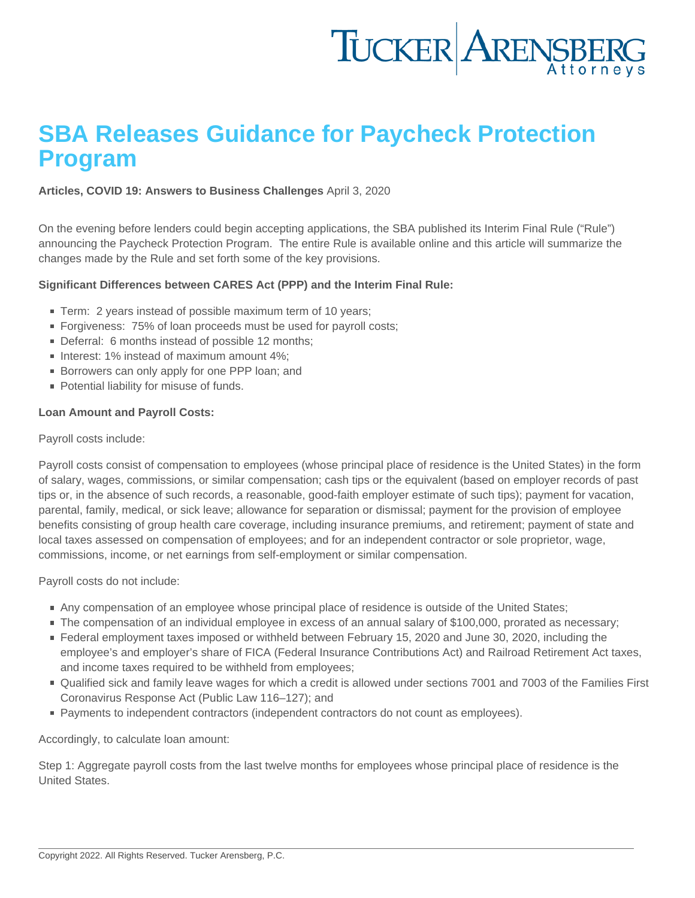# SBA Releases Guidance for Paycheck Protection Program

[Articles](https://www.tuckerlaw.com/category/articles/), [COVID 19: Answers to Business Challenges](https://www.tuckerlaw.com/category/covid-19-answers-to-business-challenges/) April 3, 2020

On the evening before lenders could begin accepting applications, the SBA published its Interim Final Rule ("Rule") announcing the Paycheck Protection Program. The entire Rule is available [online](https://content.sba.gov/sites/default/files/2020-04/PPP--IFRN FINAL.pdf) and this article will summarize the changes made by the Rule and set forth some of the key provisions.

Significant Differences between CARES Act (PPP) and the Interim Final Rule:

- Term: 2 years instead of possible maximum term of 10 years;
- Forgiveness: 75% of loan proceeds must be used for payroll costs:
- Deferral: 6 months instead of possible 12 months:
- Interest: 1% instead of maximum amount 4%;
- **Borrowers can only apply for one PPP loan: and**
- **Potential liability for misuse of funds.**

Loan Amount and Payroll Costs:

### Payroll costs include:

Payroll costs consist of compensation to employees (whose principal place of residence is the United States) in the form of salary, wages, commissions, or similar compensation; cash tips or the equivalent (based on employer records of past tips or, in the absence of such records, a reasonable, good-faith employer estimate of such tips); payment for vacation, parental, family, medical, or sick leave; allowance for separation or dismissal; payment for the provision of employee benefits consisting of group health care coverage, including insurance premiums, and retirement; payment of state and local taxes assessed on compensation of employees; and for an independent contractor or sole proprietor, wage, commissions, income, or net earnings from self-employment or similar compensation.

Payroll costs do not include:

- Any compensation of an employee whose principal place of residence is outside of the United States;
- The compensation of an individual employee in excess of an annual salary of \$100,000, prorated as necessary;
- Federal employment taxes imposed or withheld between February 15, 2020 and June 30, 2020, including the employee's and employer's share of FICA (Federal Insurance Contributions Act) and Railroad Retirement Act taxes, and income taxes required to be withheld from employees;
- Qualified sick and family leave wages for which a credit is allowed under sections 7001 and 7003 of the Families First Coronavirus Response Act (Public Law 116–127); and
- **Payments to independent contractors (independent contractors do not count as employees).**

Accordingly, to calculate loan amount:

Step 1: Aggregate payroll costs from the last twelve months for employees whose principal place of residence is the United States.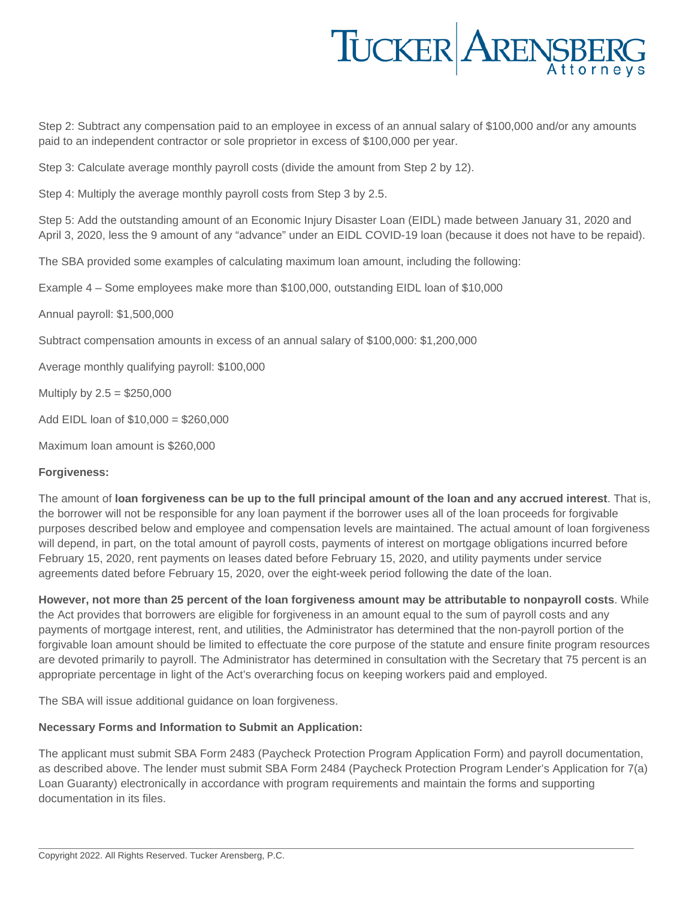

Step 2: Subtract any compensation paid to an employee in excess of an annual salary of \$100,000 and/or any amounts paid to an independent contractor or sole proprietor in excess of \$100,000 per year.

Step 3: Calculate average monthly payroll costs (divide the amount from Step 2 by 12).

Step 4: Multiply the average monthly payroll costs from Step 3 by 2.5.

Step 5: Add the outstanding amount of an Economic Injury Disaster Loan (EIDL) made between January 31, 2020 and April 3, 2020, less the 9 amount of any "advance" under an EIDL COVID-19 loan (because it does not have to be repaid).

The SBA provided some examples of calculating maximum loan amount, including the following:

Example 4 – Some employees make more than \$100,000, outstanding EIDL loan of \$10,000

Annual payroll: \$1,500,000

Subtract compensation amounts in excess of an annual salary of \$100,000: \$1,200,000

Average monthly qualifying payroll: \$100,000

Multiply by  $2.5 = $250,000$ 

Add EIDL loan of \$10,000 = \$260,000

Maximum loan amount is \$260,000

### **Forgiveness:**

The amount of **loan forgiveness can be up to the full principal amount of the loan and any accrued interest**. That is, the borrower will not be responsible for any loan payment if the borrower uses all of the loan proceeds for forgivable purposes described below and employee and compensation levels are maintained. The actual amount of loan forgiveness will depend, in part, on the total amount of payroll costs, payments of interest on mortgage obligations incurred before February 15, 2020, rent payments on leases dated before February 15, 2020, and utility payments under service agreements dated before February 15, 2020, over the eight-week period following the date of the loan.

**However, not more than 25 percent of the loan forgiveness amount may be attributable to nonpayroll costs**. While the Act provides that borrowers are eligible for forgiveness in an amount equal to the sum of payroll costs and any payments of mortgage interest, rent, and utilities, the Administrator has determined that the non-payroll portion of the forgivable loan amount should be limited to effectuate the core purpose of the statute and ensure finite program resources are devoted primarily to payroll. The Administrator has determined in consultation with the Secretary that 75 percent is an appropriate percentage in light of the Act's overarching focus on keeping workers paid and employed.

The SBA will issue additional guidance on loan forgiveness.

# **Necessary Forms and Information to Submit an Application:**

The applicant must submit SBA Form 2483 (Paycheck Protection Program Application Form) and payroll documentation, as described above. The lender must submit SBA Form 2484 (Paycheck Protection Program Lender's Application for 7(a) Loan Guaranty) electronically in accordance with program requirements and maintain the forms and supporting documentation in its files.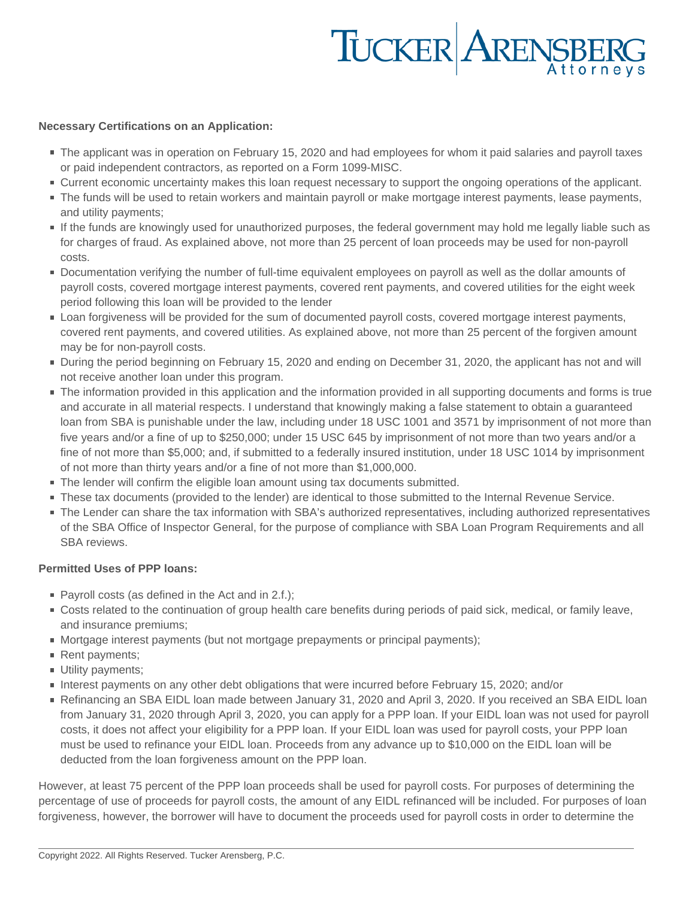# TUCKER ARENSBERG

### **Necessary Certifications on an Application:**

- The applicant was in operation on February 15, 2020 and had employees for whom it paid salaries and payroll taxes or paid independent contractors, as reported on a Form 1099-MISC.
- Current economic uncertainty makes this loan request necessary to support the ongoing operations of the applicant.
- The funds will be used to retain workers and maintain payroll or make mortgage interest payments, lease payments, and utility payments;
- If the funds are knowingly used for unauthorized purposes, the federal government may hold me legally liable such as for charges of fraud. As explained above, not more than 25 percent of loan proceeds may be used for non-payroll costs.
- Documentation verifying the number of full-time equivalent employees on payroll as well as the dollar amounts of payroll costs, covered mortgage interest payments, covered rent payments, and covered utilities for the eight week period following this loan will be provided to the lender
- Loan forgiveness will be provided for the sum of documented payroll costs, covered mortgage interest payments, covered rent payments, and covered utilities. As explained above, not more than 25 percent of the forgiven amount may be for non-payroll costs.
- During the period beginning on February 15, 2020 and ending on December 31, 2020, the applicant has not and will not receive another loan under this program.
- The information provided in this application and the information provided in all supporting documents and forms is true and accurate in all material respects. I understand that knowingly making a false statement to obtain a guaranteed loan from SBA is punishable under the law, including under 18 USC 1001 and 3571 by imprisonment of not more than five years and/or a fine of up to \$250,000; under 15 USC 645 by imprisonment of not more than two years and/or a fine of not more than \$5,000; and, if submitted to a federally insured institution, under 18 USC 1014 by imprisonment of not more than thirty years and/or a fine of not more than \$1,000,000.
- The lender will confirm the eligible loan amount using tax documents submitted.
- These tax documents (provided to the lender) are identical to those submitted to the Internal Revenue Service.
- The Lender can share the tax information with SBA's authorized representatives, including authorized representatives of the SBA Office of Inspector General, for the purpose of compliance with SBA Loan Program Requirements and all SBA reviews.

# **Permitted Uses of PPP loans:**

- $\blacksquare$  Payroll costs (as defined in the Act and in 2.f.);
- Costs related to the continuation of group health care benefits during periods of paid sick, medical, or family leave, and insurance premiums;
- Mortgage interest payments (but not mortgage prepayments or principal payments);
- Rent payments;
- **Utility payments;**
- Interest payments on any other debt obligations that were incurred before February 15, 2020; and/or
- Refinancing an SBA EIDL loan made between January 31, 2020 and April 3, 2020. If you received an SBA EIDL loan from January 31, 2020 through April 3, 2020, you can apply for a PPP loan. If your EIDL loan was not used for payroll costs, it does not affect your eligibility for a PPP loan. If your EIDL loan was used for payroll costs, your PPP loan must be used to refinance your EIDL loan. Proceeds from any advance up to \$10,000 on the EIDL loan will be deducted from the loan forgiveness amount on the PPP loan.

However, at least 75 percent of the PPP loan proceeds shall be used for payroll costs. For purposes of determining the percentage of use of proceeds for payroll costs, the amount of any EIDL refinanced will be included. For purposes of loan forgiveness, however, the borrower will have to document the proceeds used for payroll costs in order to determine the